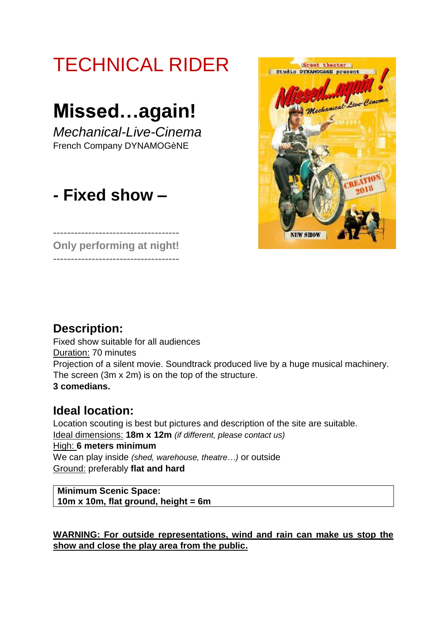# TECHNICAL RIDER Sreet theater Studio DYNAMOGANE presen hamical Live Cin **Missed…again!** *Mechanical-Live-Cinema* French Company DYNAMOGèNE **- Fixed show – ------------------------------------ NEW SHOW Only performing at night!**

## **Description:**

**------------------------------------**

Fixed show suitable for all audiences Duration: 70 minutes Projection of a silent movie. Soundtrack produced live by a huge musical machinery. The screen (3m x 2m) is on the top of the structure. **3 comedians.** 

## **Ideal location:**

Location scouting is best but pictures and description of the site are suitable. Ideal dimensions: **18m x 12m** *(if different, please contact us)* High: **6 meters minimum** We can play inside *(shed, warehouse, theatre…)* or outside Ground: preferably **flat and hard**

**Minimum Scenic Space: 10m x 10m, flat ground, height = 6m**

**WARNING: For outside representations, wind and rain can make us stop the show and close the play area from the public.**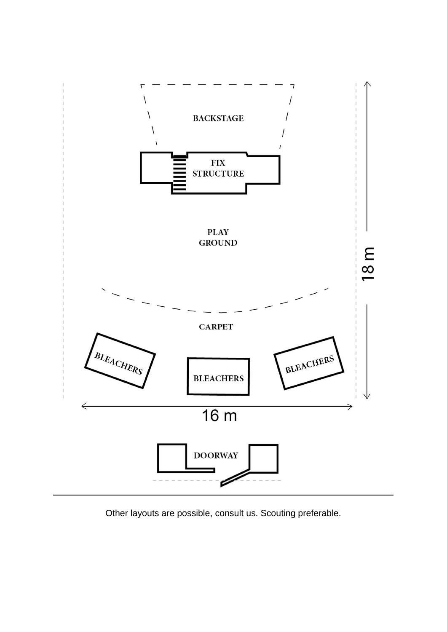

Other layouts are possible, consult us. Scouting preferable.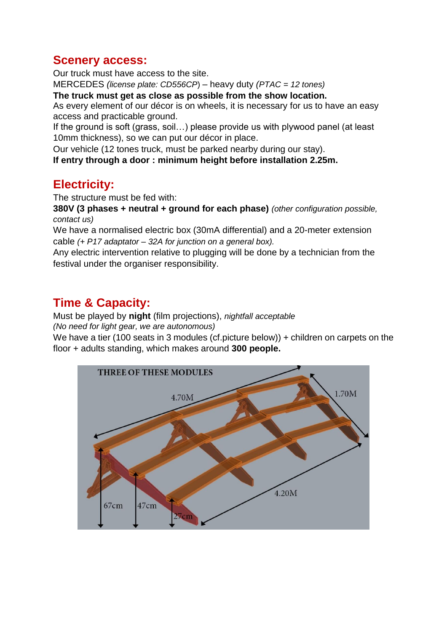### **Scenery access:**

Our truck must have access to the site.

MERCEDES *(license plate: CD556CP*) – heavy duty *(PTAC = 12 tones)*

**The truck must get as close as possible from the show location.** 

As every element of our décor is on wheels, it is necessary for us to have an easy access and practicable ground.

If the ground is soft (grass, soil…) please provide us with plywood panel (at least 10mm thickness), so we can put our décor in place.

Our vehicle (12 tones truck, must be parked nearby during our stay).

**If entry through a door : minimum height before installation 2.25m.**

## **Electricity:**

The structure must be fed with:

**380V (3 phases + neutral + ground for each phase)** *(other configuration possible, contact us)*

We have a normalised electric box (30mA differential) and a 20-meter extension cable *(+ P17 adaptator – 32A for junction on a general box).*

Any electric intervention relative to plugging will be done by a technician from the festival under the organiser responsibility.

## **Time & Capacity:**

Must be played by **night** (film projections), *nightfall acceptable (No need for light gear, we are autonomous)*

We have a tier (100 seats in 3 modules (cf.picture below)) + children on carpets on the floor + adults standing, which makes around **300 people.**

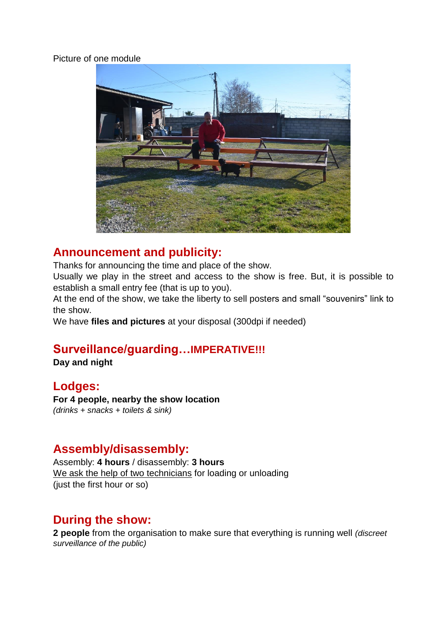#### Picture of one module



## **Announcement and publicity:**

Thanks for announcing the time and place of the show.

Usually we play in the street and access to the show is free. But, it is possible to establish a small entry fee (that is up to you).

At the end of the show, we take the liberty to sell posters and small "souvenirs" link to the show.

We have **files and pictures** at your disposal (300dpi if needed)

#### **Surveillance/guarding…IMPERATIVE!!!**

**Day and night**

## **Lodges:**

**For 4 people, nearby the show location** *(drinks + snacks + toilets & sink)*

## **Assembly/disassembly:**

Assembly: **4 hours** / disassembly: **3 hours** We ask the help of two technicians for loading or unloading (just the first hour or so)

#### **During the show:**

**2 people** from the organisation to make sure that everything is running well *(discreet surveillance of the public)*